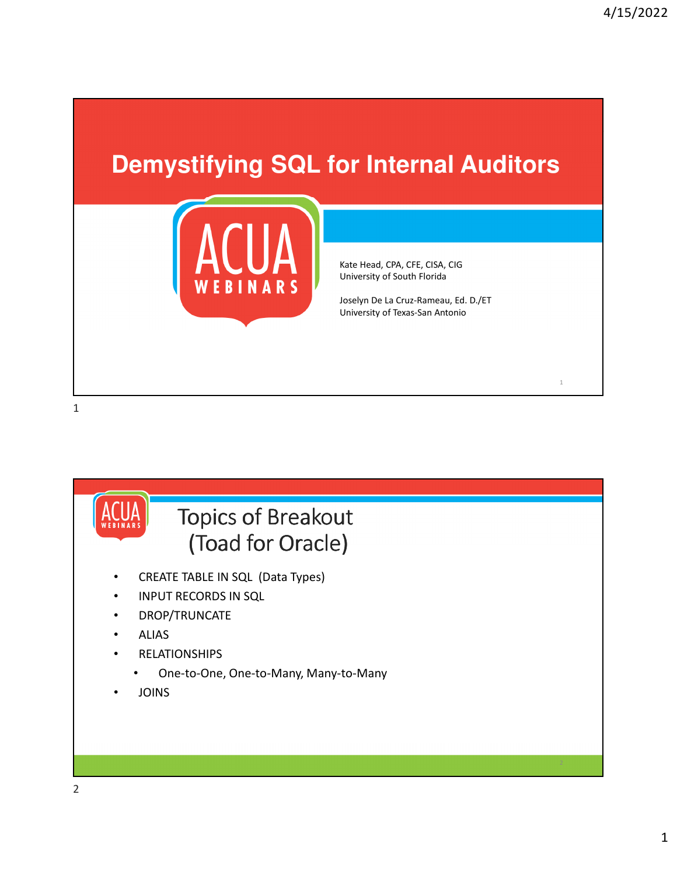### **Demystifying SQL for Internal Auditors**



Kate Head, CPA, CFE, CISA, CIG University of South Florida

Joselyn De La Cruz-Rameau, Ed. D./ET University of Texas-San Antonio

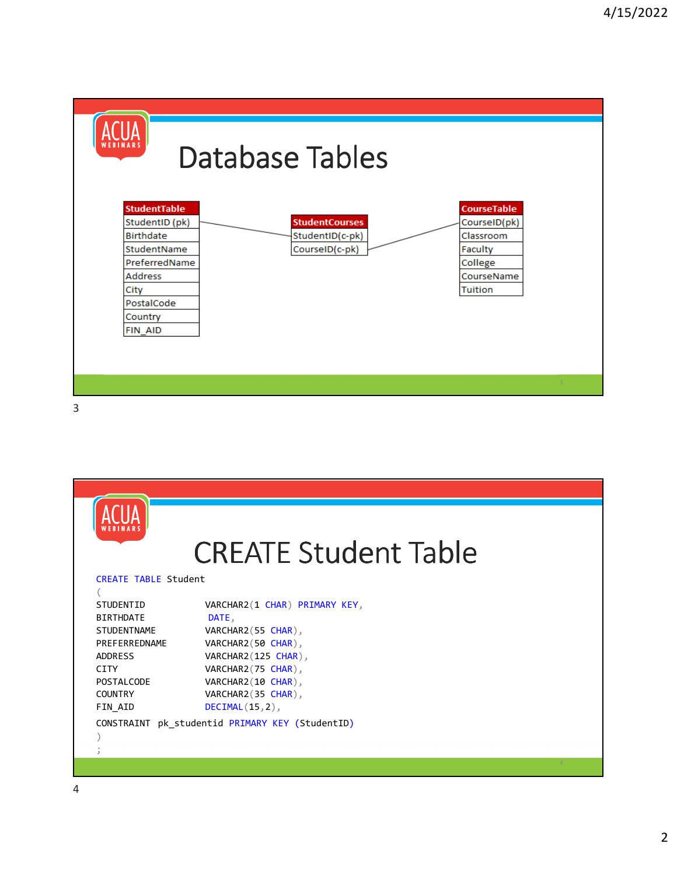



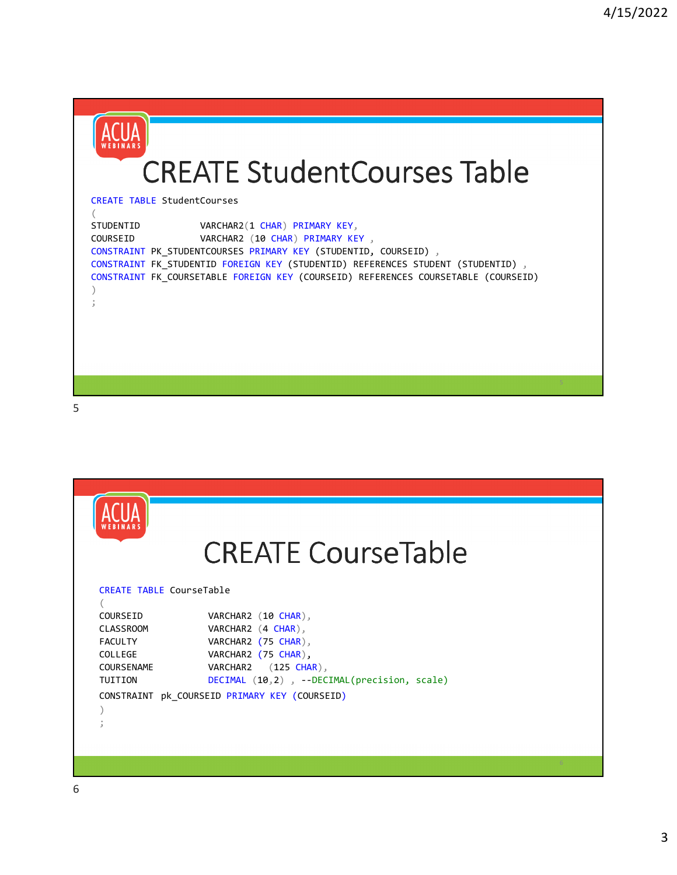



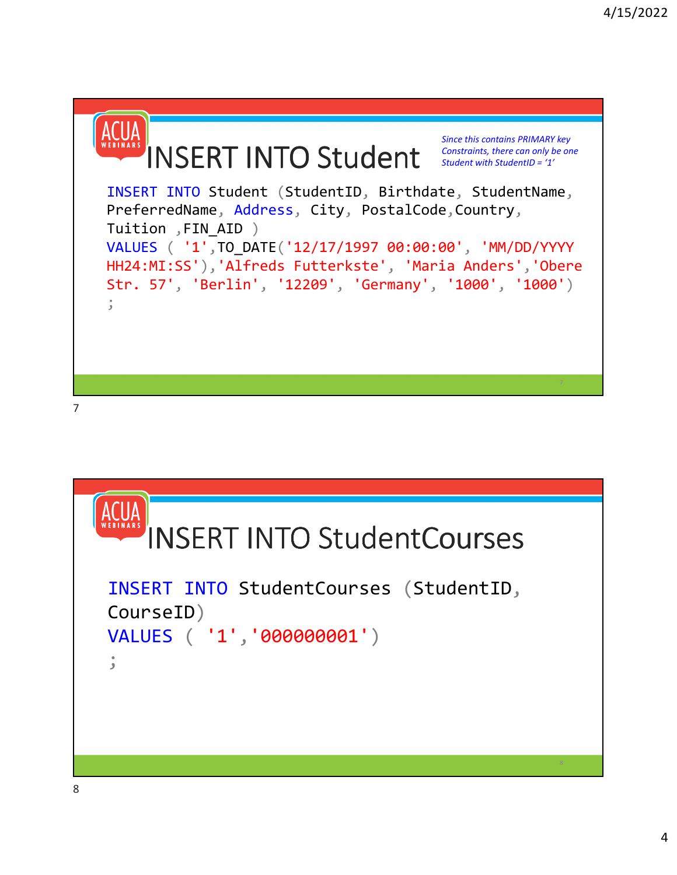

```
7
```
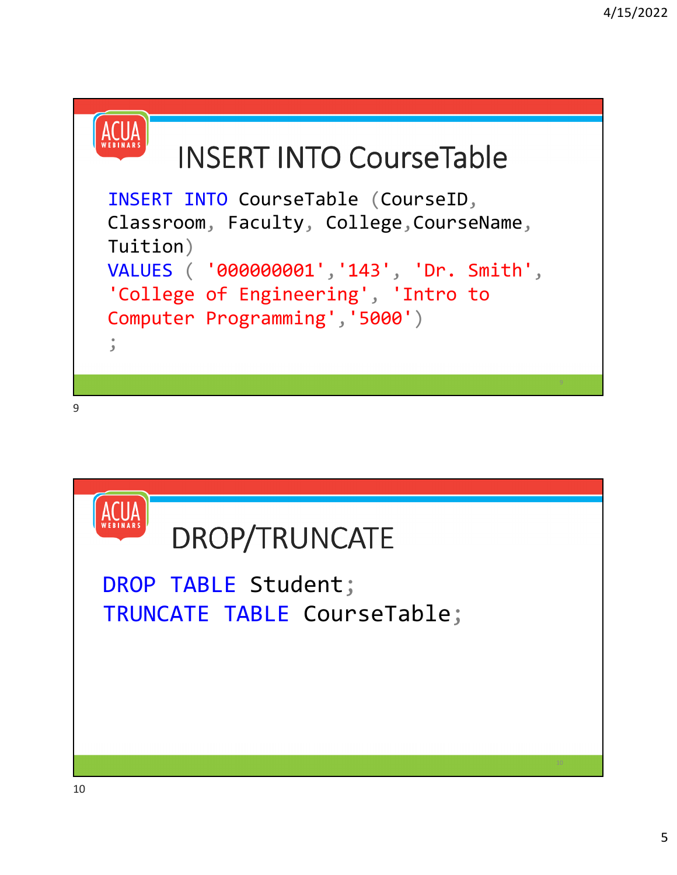

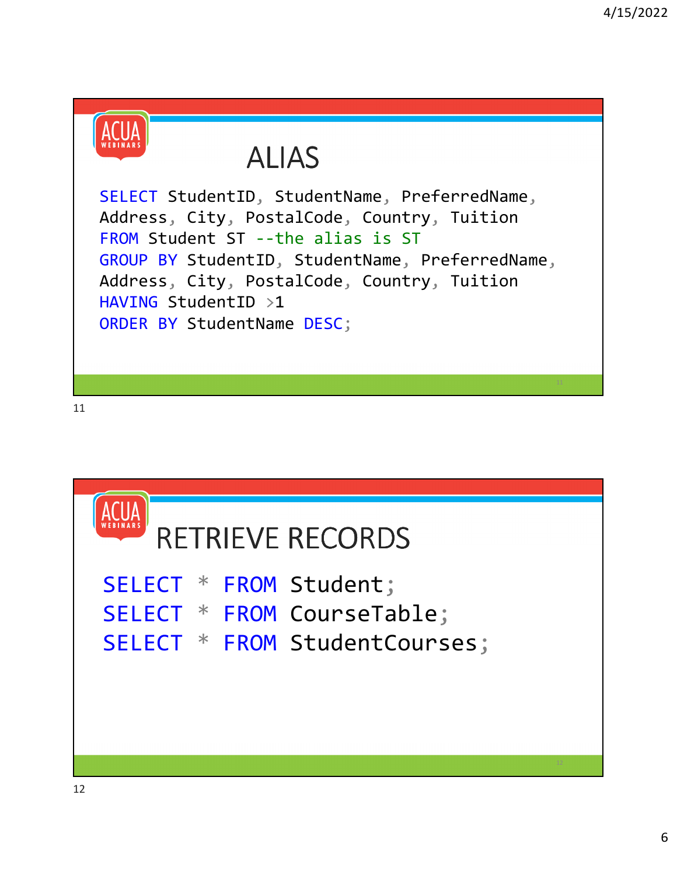

## ALIAS

SELECT StudentID, StudentName, PreferredName, Address, City, PostalCode, Country, Tuition FROM Student ST --the alias is ST GROUP BY StudentID, StudentName, PreferredName, Address, City, PostalCode, Country, Tuition HAVING StudentID >1 ORDER BY StudentName DESC;

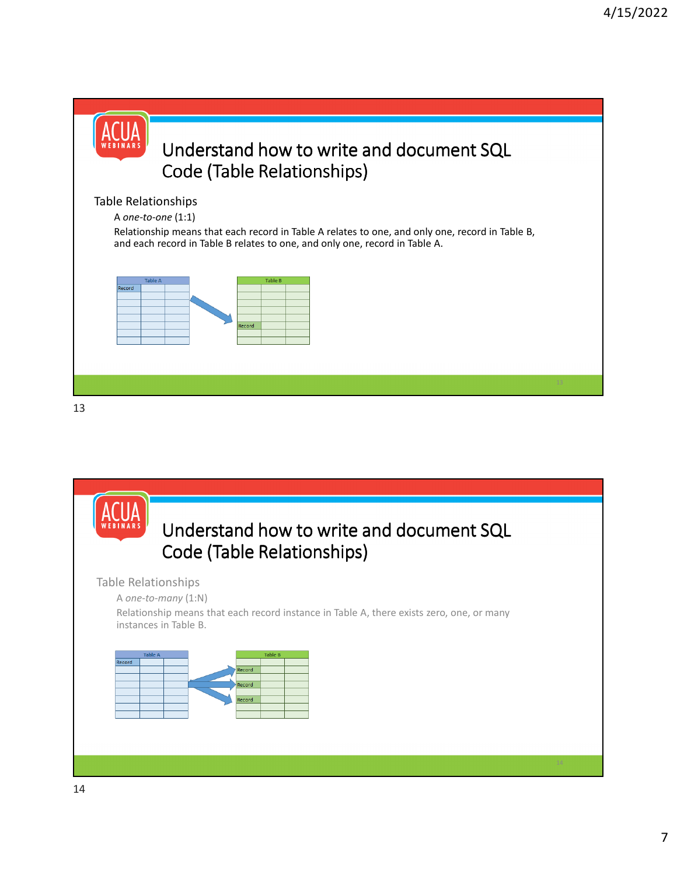



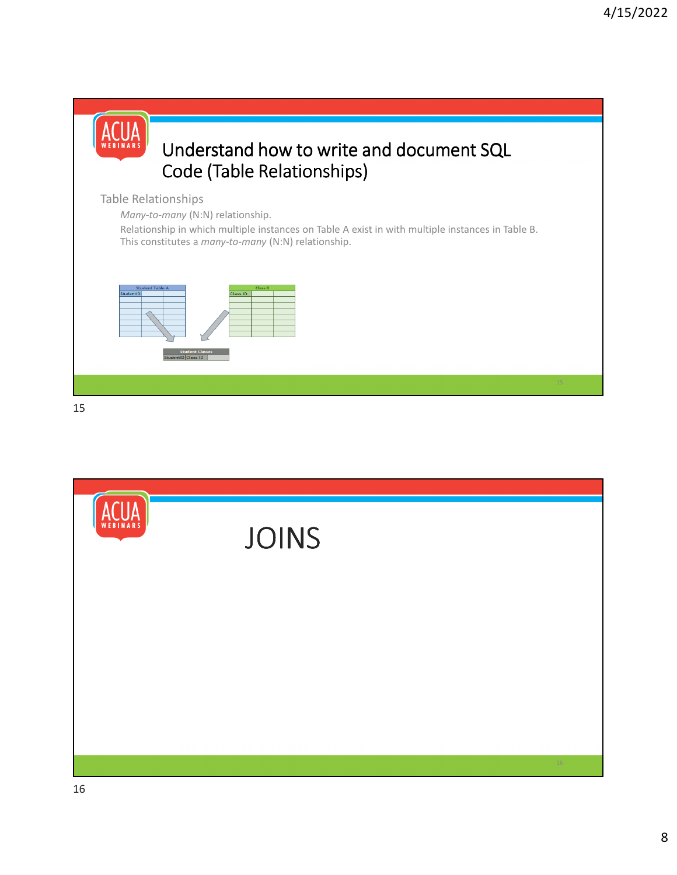

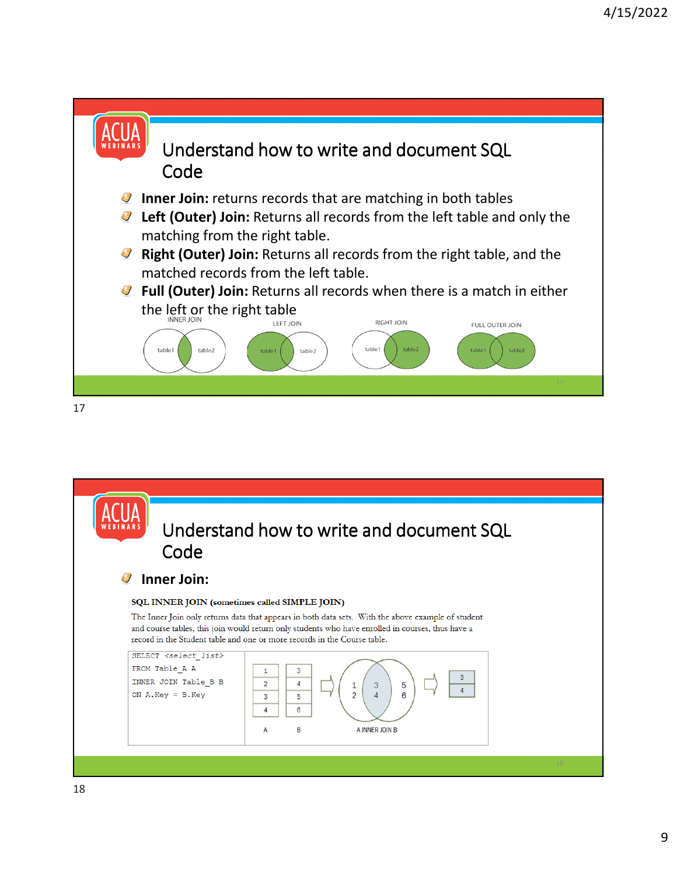

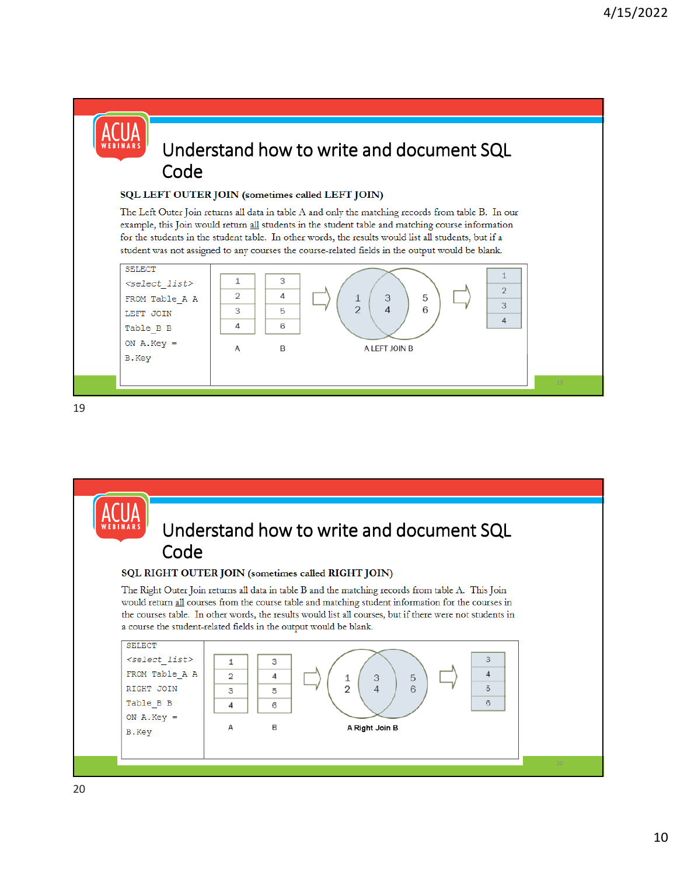#### Understand how to write and document SQL Code **SQL LEFT OUTER JOIN (sometimes called LEFT JOIN)**<br>The Left Outer Join returns all data in table A and only the matching records from table B. In our example, this Join would return all students in the student table and matching course information for the students in the student table. In other words, the results would list all students, but if a student was not assigned to any courses the course-related fields in the output would be blank. SELECT  $\mathbf{1}$  $\,1\,$ 3 <select list>  $\overline{2}$  $\overline{2}$  $\overline{4}$ FROM Table\_A A 3 5  $\perp$  $\overline{3}$  $\overline{2}$ 3 5  $\Lambda$ 6 LEFT JOIN  $\overline{A}$  $\overline{4}$ 6 Table\_B B ON  $A.Key =$ B A LEFT JOIN B A B.Key

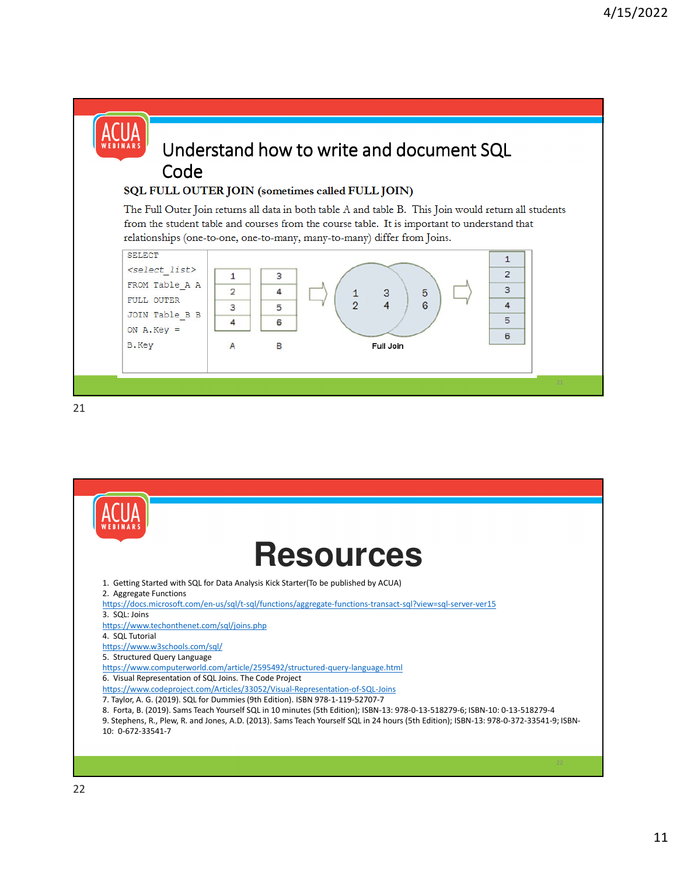#### Understand how to write and document SQL Code **SQL FULL OUTER JOIN (sometimes called FULL JOIN)**<br>The Full Outer Join returns all data in both table A and table B. This Join would return all students from the student table and courses from the course table. It is important to understand that relationships (one-to-one, one-to-many, many-to-many) differ from Joins. **SELECT**  $\mathbf{1}$ <select list>  $\overline{2}$  $\mathbf{1}$ 3 FROM Table A A 3  $\overline{2}$ 4 3 5  $\mathbf{1}$ FULL OUTER  $\overline{2}$  $\overline{4}$  $\bf 6$  $\overline{4}$ 3 5 JOIN Table B B 5  $\overline{4}$ 6 ON  $A. Key =$ 6 B.Key B A Full Join